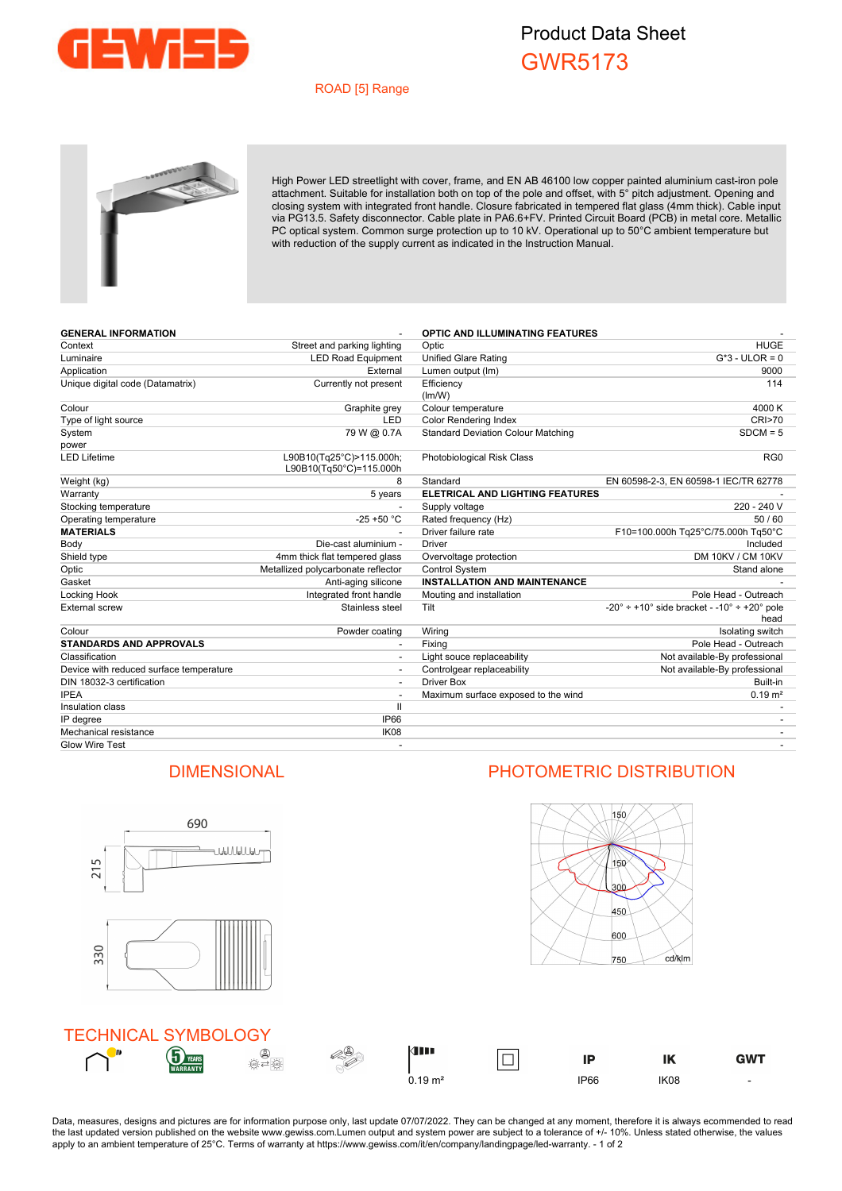

## Product Data Sheet GWR5173

## ROAD [5] Range



High Power LED streetlight with cover, frame, and EN AB 46100 low copper painted aluminium cast-iron pole attachment. Suitable for installation both on top of the pole and offset, with 5° pitch adjustment. Opening and closing system with integrated front handle. Closure fabricated in tempered flat glass (4mm thick). Cable input via PG13.5. Safety disconnector. Cable plate in PA6.6+FV. Printed Circuit Board (PCB) in metal core. Metallic PC optical system. Common surge protection up to 10 kV. Operational up to 50°C ambient temperature but with reduction of the supply current as indicated in the Instruction Manual.

| <b>GENERAL INFORMATION</b>              |                                                     | OPTIC AND ILLUMINATING FEATURES           |                                                              |
|-----------------------------------------|-----------------------------------------------------|-------------------------------------------|--------------------------------------------------------------|
| Context                                 | Street and parking lighting                         | Optic                                     | <b>HUGE</b>                                                  |
| Luminaire                               | <b>LED Road Equipment</b>                           | <b>Unified Glare Rating</b>               | $G*3$ - ULOR = 0                                             |
| Application                             | External                                            | Lumen output (Im)                         | 9000                                                         |
| Unique digital code (Datamatrix)        | Currently not present                               | Efficiency                                | 114                                                          |
| Colour                                  | Graphite grey                                       | (lm/W)<br>Colour temperature              | 4000 K                                                       |
| Type of light source                    | <b>LED</b>                                          | <b>Color Rendering Index</b>              | CRI>70                                                       |
| System                                  | 79 W @ 0.7A                                         | <b>Standard Deviation Colour Matching</b> | $SDCM = 5$                                                   |
| power                                   |                                                     |                                           |                                                              |
| <b>LED Lifetime</b>                     | L90B10(Tg25°C)>115.000h;<br>L90B10(Tq50°C)=115.000h | Photobiological Risk Class                | RG <sub>0</sub>                                              |
| Weight (kg)                             | 8                                                   | Standard                                  | EN 60598-2-3, EN 60598-1 IEC/TR 62778                        |
| Warranty                                | 5 years                                             | <b>ELETRICAL AND LIGHTING FEATURES</b>    |                                                              |
| Stocking temperature                    |                                                     | Supply voltage                            | 220 - 240 V                                                  |
| Operating temperature                   | $-25 + 50 °C$                                       | Rated frequency (Hz)                      | 50/60                                                        |
| <b>MATERIALS</b>                        |                                                     | Driver failure rate                       | F10=100.000h Tq25°C/75.000h Tq50°C                           |
| Body                                    | Die-cast aluminium -                                | Driver                                    | Included                                                     |
| Shield type                             | 4mm thick flat tempered glass                       | Overvoltage protection                    | DM 10KV / CM 10KV                                            |
| Optic                                   | Metallized polycarbonate reflector                  | <b>Control System</b>                     | Stand alone                                                  |
| Gasket                                  | Anti-aging silicone                                 | <b>INSTALLATION AND MAINTENANCE</b>       |                                                              |
| Locking Hook                            | Integrated front handle                             | Mouting and installation                  | Pole Head - Outreach                                         |
| External screw                          | Stainless steel                                     | Tilt                                      | $-20^{\circ}$ ÷ +10° side bracket - -10° ÷ +20° pole<br>head |
| Colour                                  | Powder coating                                      | Wiring                                    | Isolating switch                                             |
| <b>STANDARDS AND APPROVALS</b>          | $\overline{\phantom{a}}$                            | Fixing                                    | Pole Head - Outreach                                         |
| Classification                          |                                                     | Light souce replaceability                | Not available-By professional                                |
| Device with reduced surface temperature |                                                     | Controlgear replaceability                | Not available-By professional                                |
| DIN 18032-3 certification               |                                                     | Driver Box                                | Built-in                                                     |
| <b>IPEA</b>                             |                                                     | Maximum surface exposed to the wind       | $0.19 \text{ m}^2$                                           |
| Insulation class                        | $\mathbf{I}$                                        |                                           |                                                              |
| IP degree                               | <b>IP66</b>                                         |                                           |                                                              |
| Mechanical resistance                   | IK08                                                |                                           |                                                              |
| Glow Wire Test                          |                                                     |                                           |                                                              |



Data, measures, designs and pictures are for information purpose only, last update 07/07/2022. They can be changed at any moment, therefore it is always ecommended to read the last updated version published on the website www.gewiss.com.Lumen output and system power are subject to a tolerance of +/- 10%. Unless stated otherwise, the values apply to an ambient temperature of 25°C. Terms of warranty at https://www.gewiss.com/it/en/company/landingpage/led-warranty. - 1 of 2

## DIMENSIONAL PHOTOMETRIC DISTRIBUTION